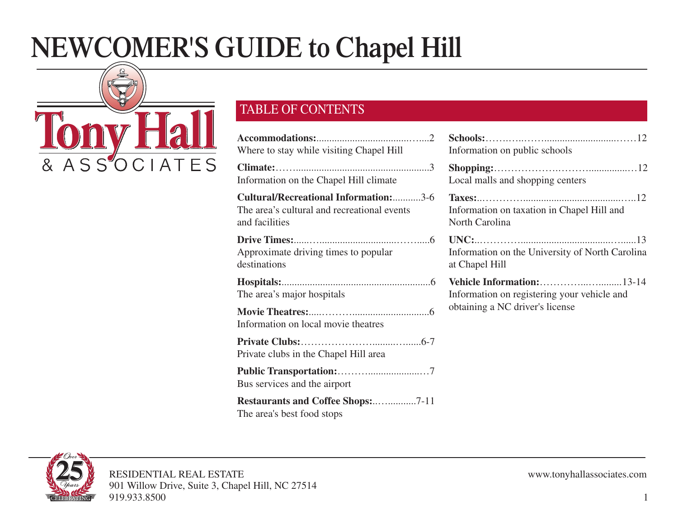# **NEWCOMER'S GUIDE to Chapel Hill**



## TABLE OF CONTENTS

| Where to stay while visiting Chapel Hill                                                                       | Information on public schools                                                    |
|----------------------------------------------------------------------------------------------------------------|----------------------------------------------------------------------------------|
|                                                                                                                |                                                                                  |
| Information on the Chapel Hill climate                                                                         | Local malls and shopping centers                                                 |
| <b>Cultural/Recreational Information:</b> 3-6<br>The area's cultural and recreational events<br>and facilities | Information on taxation in Chapel Hill and<br>North Carolina                     |
| Approximate driving times to popular<br>destinations                                                           | $UNC:$ $13$<br>Information on the University of North Carolina<br>at Chapel Hill |
| The area's major hospitals                                                                                     | Information on registering your vehicle and                                      |
| Information on local movie theatres                                                                            | obtaining a NC driver's license                                                  |
| Private clubs in the Chapel Hill area                                                                          |                                                                                  |
| Bus services and the airport                                                                                   |                                                                                  |
| <b>Restaurants and Coffee Shops:7-11</b><br>The area's best food stops                                         |                                                                                  |

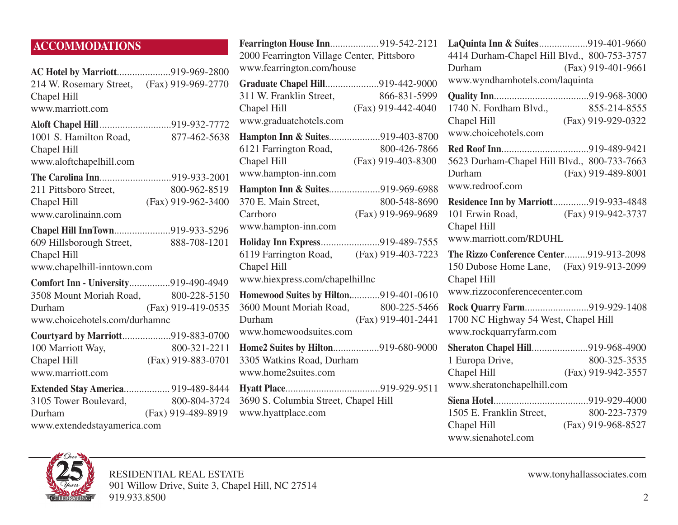## **ACCOMMODATIONS**

| AC Hotel by Marriott919-969-2800<br>214 W. Rosemary Street, (Fax) 919-969-2770<br>Chapel Hill<br>www.marriott.com       |                                    |
|-------------------------------------------------------------------------------------------------------------------------|------------------------------------|
| Aloft Chapel Hill919-932-7772<br>1001 S. Hamilton Road,<br>Chapel Hill<br>www.aloftchapelhill.com                       | 877-462-5638                       |
| The Carolina Inn919-933-2001<br>211 Pittsboro Street,<br>Chapel Hill<br>www.carolinainn.com                             | 800-962-8519<br>(Fax) 919-962-3400 |
| Chapel Hill InnTown919-933-5296<br>609 Hillsborough Street,<br>Chapel Hill<br>www.chapelhill-inntown.com                | 888-708-1201                       |
| Comfort Inn - University919-490-4949<br>3508 Mount Moriah Road, 800-228-5150<br>Durham<br>www.choicehotels.com/durhamnc | (Fax) 919-419-0535                 |
| Courtyard by Marriott919-883-0700<br>100 Marriott Way,<br>Chapel Hill<br>www.marriott.com                               | 800-321-2211<br>(Fax) 919-883-0701 |
| <b>Extended Stay America 919-489-8444</b><br>3105 Tower Boulevard,<br>Durham                                            | 800-804-3724<br>(Fax) 919-489-8919 |

www.extendedstayamerica.com

| Fearrington House Inn919-542-2121          |                      |
|--------------------------------------------|----------------------|
| 2000 Fearrington Village Center, Pittsboro |                      |
| www.fearrington.com/house                  |                      |
| Graduate Chapel Hill919-442-9000           |                      |
| 311 W. Franklin Street,                    | 866-831-5999         |
| Chapel Hill                                | $(Fax)$ 919-442-4040 |
| www.graduatehotels.com                     |                      |
| Hampton Inn & Suites919-403-8700           |                      |
| 6121 Farrington Road,                      | 800-426-7866         |
| Chapel Hill                                | (Fax) 919-403-8300   |
| www.hampton-inn.com                        |                      |
| Hampton Inn & Suites919-969-6988           |                      |
| 370 E. Main Street,                        | 800-548-8690         |
| Carrboro                                   | (Fax) 919-969-9689   |
| www.hampton-inn.com                        |                      |
| Holiday Inn Express919-489-7555            |                      |
| 6119 Farrington Road, (Fax) 919-403-7223   |                      |
| Chapel Hill                                |                      |
| www.hiexpress.com/chapelhillnc             |                      |
| Homewood Suites by Hilton919-401-0610      |                      |
| 3600 Mount Moriah Road, 800-225-5466       |                      |
| Durham                                     | (Fax) 919-401-2441   |
| www.homewoodsuites.com                     |                      |
| Home2 Suites by Hilton919-680-9000         |                      |
| 3305 Watkins Road, Durham                  |                      |
| www.home2suites.com                        |                      |
|                                            |                      |
| 3690 S. Columbia Street, Chapel Hill       |                      |
| www.hyattplace.com                         |                      |
|                                            |                      |

**LaQuinta Inn & Suites**...................919-401-9660 4414 Durham-Chapel Hill Blvd., 800-753-3757 Durham (Fax) 919-401-9661 www.wyndhamhotels.com/laquinta **Quality Inn**.....................................919-968-3000 1740 N. Fordham Blvd., 855-214-8555 Chapel Hill (Fax) 919-929-0322 www.choicehotels.com **Red Roof Inn**..................................919-489-9421 5623 Durham-Chapel Hill Blvd., 800-733-7663 Durham (Fax) 919-489-8001 www.redroof.com **Residence Inn by Marriott**..............919-933-4848 101 Erwin Road, (Fax) 919-942-3737 Chapel Hill www.marriott.com/RDUHL **The Rizzo Conference Center**.........919-913-2098 150 Dubose Home Lane, (Fax) 919-913-2099 Chapel Hill www.rizzoconferencecenter.com **Rock Quarry Farm**.........................919-929-1408 1700 NC Highway 54 West, Chapel Hill www.rockquarryfarm.com **Sheraton Chapel Hill**......................919-968-4900 1 Europa Drive, 800-325-3535 Chapel Hill (Fax) 919-942-3557 www.sheratonchapelhill.com **Siena Hotel**.....................................919-929-4000 1505 E. Franklin Street, Chapel Hill (Fax) 919-968-8527 www.sienahotel.com

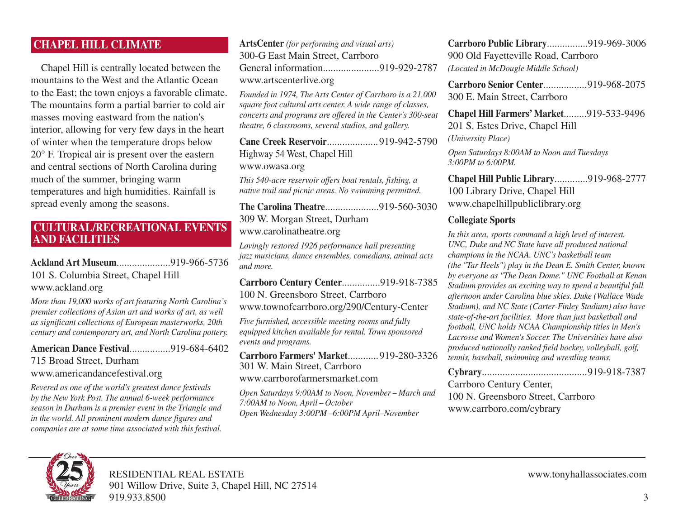## **CHAPEL HILL CLIMATE**

Chapel Hill is centrally located between the mountains to the West and the Atlantic Ocean to the East; the town enjoys a favorable climate. The mountains form a partial barrier to cold air masses moving eastward from the nation's interior, allowing for very few days in the heart of winter when the temperature drops below 20° F. Tropical air is present over the eastern and central sections of North Carolina during much of the summer, bringing warm temperatures and high humidities. Rainfall is spread evenly among the seasons.

## **CULTURAL/RECREATIONAL EVENTS AND FACILITIES**

## **Ackland Art Museum**.....................919-966-5736 101 S. Columbia Street, Chapel Hill www.ackland.org

*More than 19,000 works of art featuring North Carolina's premier collections of Asian art and works of art, as well as significant collections of European masterworks, 20th century and contemporary art, and North Carolina pottery.*

**American Dance Festival**................919-684-6402 715 Broad Street, Durham www.americandancefestival.org

*Revered as one of the world's greatest dance festivals by the New York Post. The annual 6-week performance season in Durham is a premier event in the Triangle and in the world. All prominent modern dance figures and companies are at some time associated with this festival.*

**ArtsCenter** *(for performing and visual arts)* 300-G East Main Street, Carrboro General information......................919-929-2787 www.artscenterlive.org *Founded in 1974, The Arts Center of Carrboro is a 21,000 square foot cultural arts center. A wide range of classes, concerts and programs are offered in the Center's 300-seat theatre, 6 classrooms, several studios, and gallery.*

**Cane Creek Reservoir**.................... 919-942-5790 Highway 54 West, Chapel Hill www.owasa.org

*This 540-acre reservoir offers boat rentals, fishing, a native trail and picnic areas. No swimming permitted.*

**The Carolina Theatre**.....................919-560-3030 309 W. Morgan Street, Durham www.carolinatheatre.org

*Lovingly restored 1926 performance hall presenting jazz musicians, dance ensembles, comedians, animal acts and more.*

**Carrboro Century Center**...............919-918-7385 100 N. Greensboro Street, Carrboro

www.townofcarrboro.org/290/Century-Center

*Five furnished, accessible meeting rooms and fully equipped kitchen available for rental. Town sponsored events and programs.*

**Carrboro Farmers' Market**............ 919-280-3326 301 W. Main Street, Carrboro www.carrborofarmersmarket.com

*Open Saturdays 9:00AM to Noon, November – March and 7:00AM to Noon, April – October Open Wednesday 3:00PM –6:00PM April–November*

**Carrboro Public Library**................919-969-3006 900 Old Fayetteville Road, Carrboro *(Located in McDougle Middle School)*

**Carrboro Senior Center**.................919-968-2075 300 E. Main Street, Carrboro

**Chapel Hill Farmers' Market**.........919-533-9496 201 S. Estes Drive, Chapel Hill *(University Place)*

*Open Saturdays 8:00AM to Noon and Tuesdays 3:00PM to 6:00PM.*

**Chapel Hill Public Library**.............919-968-2777 100 Library Drive, Chapel Hill www.chapelhillpubliclibrary.org

## **Collegiate Sports**

*In this area, sports command a high level of interest. UNC, Duke and NC State have all produced national champions in the NCAA. UNC's basketball team (the "Tar Heels") play in the Dean E. Smith Center, known by everyone as "The Dean Dome." UNC Football at Kenan Stadium provides an exciting way to spend a beautiful fall afternoon under Carolina blue skies. Duke (Wallace Wade Stadium), and NC State (Carter-Finley Stadium) also have state-of-the-art facilities. More than just basketball and football, UNC holds NCAA Championship titles in Men's Lacrosse and Women's Soccer. The Universities have also produced nationally ranked field hockey, volleyball, golf, tennis, baseball, swimming and wrestling teams.*

| Carrboro Century Center,           |  |
|------------------------------------|--|
| 100 N. Greensboro Street, Carrboro |  |
| www.carrboro.com/cybrary           |  |

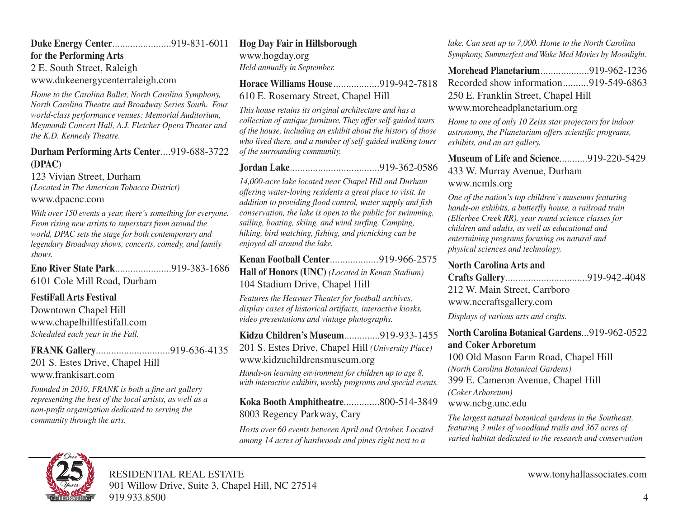## **Duke Energy Center**.......................919-831-6011

**for the Performing Arts**

2 E. South Street, Raleigh

www.dukeenergycenterraleigh.com

*Home to the Carolina Ballet, North Carolina Symphony, North Carolina Theatre and Broadway Series South. Four world-class performance venues: Memorial Auditorium, Meymandi Concert Hall, A.J. Fletcher Opera Theater and the K.D. Kennedy Theatre.*

## **Durham Performing Arts Center**....919-688-3722 **(DPAC)**

123 Vivian Street, Durham *(Located in The American Tobacco District)* www.dpacnc.com

*With over 150 events a year, there's something for everyone. From rising new artists to superstars from around the world, DPAC sets the stage for both contemporary and legendary Broadway shows, concerts, comedy, and family shows.*

**Eno River State Park**......................919-383-1686 6101 Cole Mill Road, Durham

## **FestiFall Arts Festival**

Downtown Chapel Hill www.chapelhillfestifall.com *Scheduled each year in the Fall.*

## **FRANK Gallery**.............................919-636-4135 201 S. Estes Drive, Chapel Hill www.frankisart.com

*Founded in 2010, FRANK is both a fine art gallery representing the best of the local artists, as well as a non-profit organization dedicated to serving the community through the arts.*

## **Hog Day Fair in Hillsborough**

www.hogday.org *Held annually in September.*

**Horace Williams House**..................919-942-7818

## 610 E. Rosemary Street, Chapel Hill

*This house retains its original architecture and has a collection of antique furniture. They offer self-guided tours of the house, including an exhibit about the history of those who lived there, and a number of self-guided walking tours of the surrounding community.*

## **Jordan Lake**...................................919-362-0586

*14,000-acre lake located near Chapel Hill and Durham offering water-loving residents a great place to visit. In addition to providing flood control, water supply and fish conservation, the lake is open to the public for swimming, sailing, boating, skiing, and wind surfing. Camping, hiking, bird watching, fishing, and picnicking can be enjoyed all around the lake.*

**Kenan Football Center**...................919-966-2575 **Hall of Honors (UNC)** *(Located in Kenan Stadium)* 104 Stadium Drive, Chapel Hill

*Features the Heavner Theater for football archives, display cases of historical artifacts, interactive kiosks, video presentations and vintage photographs.*

**Kidzu Children's Museum**..............919-933-1455 201 S. Estes Drive, Chapel Hill *(University Place)* www.kidzuchildrensmuseum.org

*Hands-on learning environment for children up to age 8, with interactive exhibits, weekly programs and special events.*

## **Koka Booth Amphitheatre**..............800-514-3849 8003 Regency Parkway, Cary

*Hosts over 60 events between April and October. Located among 14 acres of hardwoods and pines right next to a*

*lake. Can seat up to 7,000. Home to the North Carolina Symphony, Summerfest and Wake Med Movies by Moonlight.*

**Morehead Planetarium**...................919-962-1236 Recorded show information..........919-549-6863 250 E. Franklin Street, Chapel Hill www.moreheadplanetarium.org

*Home to one of only 10 Zeiss star projectors for indoor astronomy, the Planetarium offers scientific programs, exhibits, and an art gallery.*

## **Museum of Life and Science**...........919-220-5429 433 W. Murray Avenue, Durham www.ncmls.org

*One of the nation's top children's museums featuring hands-on exhibits, a butterfly house, a railroad train (Ellerbee Creek RR), year round science classes for children and adults, as well as educational and entertaining programs focusing on natural and physical sciences and technology.*

#### **North Carolina Arts and**

| 212 W. Main Street, Carrboro |  |
|------------------------------|--|
| www.nccraftsgallery.com      |  |

*Displays of various arts and crafts.*

## **North Carolina Botanical Gardens**...919-962-0522 **and Coker Arboretum**

100 Old Mason Farm Road, Chapel Hill *(North Carolina Botanical Gardens)* 399 E. Cameron Avenue, Chapel Hill *(Coker Arboretum)* www.ncbg.unc.edu

*The largest natural botanical gardens in the Southeast, featuring 3 miles of woodland trails and 367 acres of varied habitat dedicated to the research and conservation*

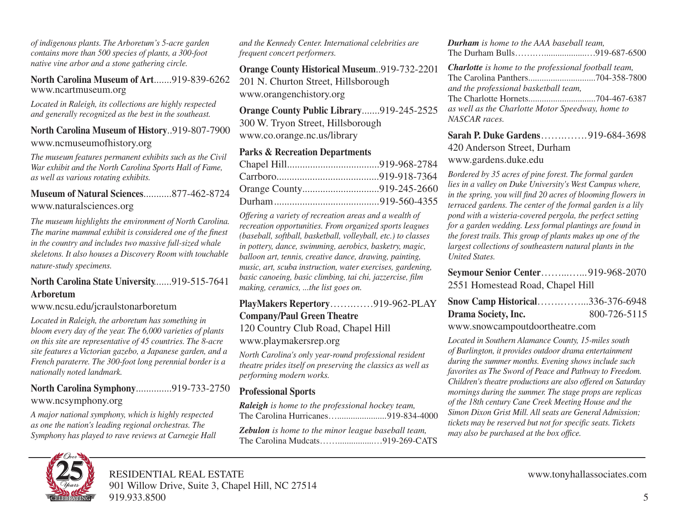*of indigenous plants. The Arboretum's 5-acre garden contains more than 500 species of plants, a 300-foot native vine arbor and a stone gathering circle.*

#### **North Carolina Museum of Art**.......919-839-6262 www.ncartmuseum.org

*Located in Raleigh, its collections are highly respected and generally recognized as the best in the southeast.*

#### **North Carolina Museum of History**..919-807-7900 www.ncmuseumofhistory.org

*The museum features permanent exhibits such as the Civil War exhibit and the North Carolina Sports Hall of Fame, as well as various rotating exhibits.*

## **Museum of Natural Sciences**...........877-462-8724 www.naturalsciences.org

*The museum highlights the environment of North Carolina. The marine mammal exhibit is considered one of the finest in the country and includes two massive full-sized whale skeletons. It also houses a Discovery Room with touchable nature-study specimens.*

#### **North Carolina State University**.......919-515-7641 **Arboretum**

#### www.ncsu.edu/jcraulstonarboretum

*Located in Raleigh, the arboretum has something in bloom every day of the year. The 6,000 varieties of plants on this site are representative of 45 countries. The 8-acre site features a Victorian gazebo, a Japanese garden, and a French paraterre. The 300-foot long perennial border is a nationally noted landmark.*

**North Carolina Symphony**..............919-733-2750 www.ncsymphony.org

*A major national symphony, which is highly respected as one the nation's leading regional orchestras. The Symphony has played to rave reviews at Carnegie Hall*

*and the Kennedy Center. International celebrities are frequent concert performers.*

**Orange County Historical Museum**..919-732-2201 201 N. Churton Street, Hillsborough www.orangenchistory.org

**Orange County Public Library**.......919-245-2525 300 W. Tryon Street, Hillsborough www.co.orange.nc.us/library

## **Parks & Recreation Departments**

*Offering a variety of recreation areas and a wealth of recreation opportunities. From organized sports leagues (baseball, softball, basketball, volleyball, etc.) to classes in pottery, dance, swimming, aerobics, basketry, magic, balloon art, tennis, creative dance, drawing, painting, music, art, scuba instruction, water exercises, gardening, basic canoeing, basic climbing, tai chi, jazzercise, film making, ceramics, ...the list goes on.*

**PlayMakers Repertory**…….……919-962-PLAY **Company/Paul Green Theatre** 120 Country Club Road, Chapel Hill www.playmakersrep.org

*North Carolina's only year-round professional resident theatre prides itself on preserving the classics as well as performing modern works.*

## **Professional Sports**

*Raleigh is home to the professional hockey team,* The Carolina Hurricanes…......................919-834-4000

*Zebulon is home to the minor league baseball team,* The Carolina Mudcats……................…919-269-CATS *Durham is home to the AAA baseball team,* The Durham Bulls…….…...................…919-687-6500

*Charlotte is home to the professional football team,* The Carolina Panthers..............................704-358-7800 *and the professional basketball team,* The Charlotte Hornets..............................704-467-6387 *as well as the Charlotte Motor Speedway, home to NASCAR races.*

**Sarah P. Duke Gardens**…….……. 919-684-3698 420 Anderson Street, Durham www.gardens.duke.edu

*Bordered by 35 acres of pine forest. The formal garden lies in a valley on Duke University's West Campus where, in the spring, you will find 20 acres of blooming flowers in terraced gardens. The center of the formal garden is a lily pond with a wisteria-covered pergola, the perfect setting for a garden wedding. Less formal plantings are found in the forest trails. This group of plants makes up one of the largest collections of southeastern natural plants in the United States.*

**Seymour Senior Center**……...…... 919-968-2070 2551 Homestead Road, Chapel Hill

| <b>Snow Camp Historical336-376-6948</b> |              |
|-----------------------------------------|--------------|
| Drama Society, Inc.                     | 800-726-5115 |

www.snowcampoutdoortheatre.com

*Located in Southern Alamance County, 15-miles south of Burlington, it provides outdoor drama entertainment during the summer months. Evening shows include such favorites as The Sword of Peace and Pathway to Freedom. Children's theatre productions are also offered on Saturday mornings during the summer. The stage props are replicas of the 18th century Cane Creek Meeting House and the Simon Dixon Grist Mill. All seats are General Admission; tickets may be reserved but not for specific seats. Tickets may also be purchased at the box office.*



RESIDENTIAL REAL ESTATE www.tonyhallassociates.com 901 Willow Drive, Suite 3, Chapel Hill, NC 27514 919.933.8500 5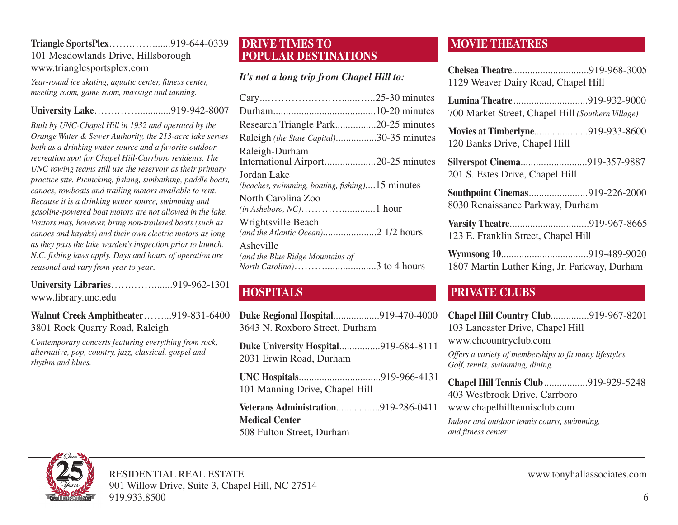## **Triangle SportsPlex**…….…….......919-644-0339 101 Meadowlands Drive, Hillsborough www.trianglesportsplex.com

*Year-round ice skating, aquatic center, fitness center, meeting room, game room, massage and tanning.*

## **University Lake**…….…….............919-942-8007

*Built by UNC-Chapel Hill in 1932 and operated by the Orange Water & Sewer Authority, the 213-acre lake serves both as a drinking water source and a favorite outdoor recreation spot for Chapel Hill-Carrboro residents. The UNC rowing teams still use the reservoir as their primary practice site. Picnicking, fishing, sunbathing, paddle boats, canoes, rowboats and trailing motors available to rent. Because it is a drinking water source, swimming and gasoline-powered boat motors are not allowed in the lake. Visitors may, however, bring non-trailered boats (such as canoes and kayaks) and their own electric motors as long as they pass the lake warden's inspection prior to launch. N.C. fishing laws apply. Days and hours of operation are seasonal and vary from year to year*.

#### **University Libraries**…….…….......919-962-1301 www.library.unc.edu

**Walnut Creek Amphitheater**……...919-831-6400 3801 Rock Quarry Road, Raleigh

*Contemporary concerts featuring everything from rock, alternative, pop, country, jazz, classical, gospel and rhythm and blues.*

## **DRIVE TIMES TO POPULAR DESTINATIONS**

## *It's not a long trip from Chapel Hill to:*

## **HOSPITALS**

| Duke Regional Hospital919-470-4000<br>3643 N. Roxboro Street, Durham |  |
|----------------------------------------------------------------------|--|
| Duke University Hospital919-684-8111<br>2031 Erwin Road, Durham      |  |
| 101 Manning Drive, Chapel Hill                                       |  |
| Veterans Administration919-286-0411<br><b>Medical Center</b>         |  |

508 Fulton Street, Durham

## **MOVIE THEATRES**

| 1129 Weaver Dairy Road, Chapel Hill |  |
|-------------------------------------|--|

**Lumina Theatre**.............................919-932-9000 700 Market Street, Chapel Hill *(Southern Village)*

**Movies at Timberlyne**.....................919-933-8600 120 Banks Drive, Chapel Hill

**Silverspot Cinema**..........................919-357-9887 201 S. Estes Drive, Chapel Hill

**Southpoint Cinemas**.......................919-226-2000 8030 Renaissance Parkway, Durham

**Varsity Theatre**...............................919-967-8665 123 E. Franklin Street, Chapel Hill

**Wynnsong 10**..................................919-489-9020 1807 Martin Luther King, Jr. Parkway, Durham

## **PRIVATE CLUBS**

**Chapel Hill Country Club**...............919-967-8201 103 Lancaster Drive, Chapel Hill www.chcountryclub.com *Offers a variety of memberships to fit many lifestyles. Golf, tennis, swimming, dining.* **Chapel Hill Tennis Club**.................919-929-5248 403 Westbrook Drive, Carrboro www.chapelhilltennisclub.com *Indoor and outdoor tennis courts, swimming, and fitness center.*

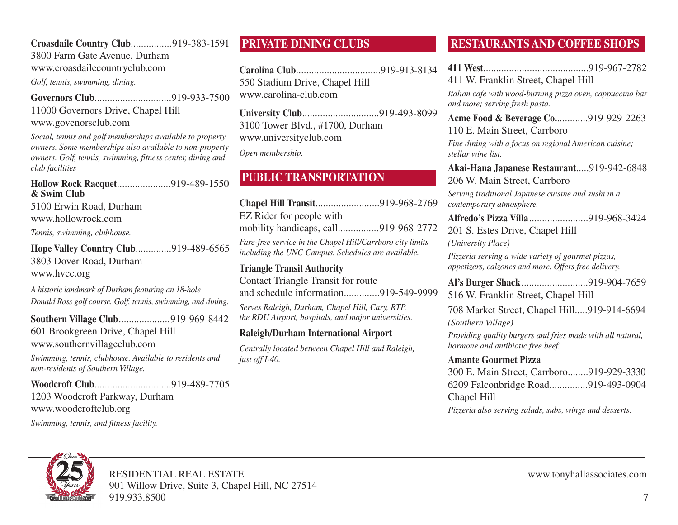## **Croasdaile Country Club**................919-383-1591

3800 Farm Gate Avenue, Durham www.croasdailecountryclub.com

*Golf, tennis, swimming, dining.*

**Governors Club**..............................919-933-7500 11000 Governors Drive, Chapel Hill www.govenorsclub.com

*Social, tennis and golf memberships available to property owners. Some memberships also available to non-property owners. Golf, tennis, swimming, fitness center, dining and club facilities*

#### **Hollow Rock Racquet**.....................919-489-1550 **& Swim Club** 5100 Erwin Road, Durham

www.hollowrock.com

*Tennis, swimming, clubhouse.*

**Hope Valley Country Club**..............919-489-6565 3803 Dover Road, Durham www.hvcc.org

*A historic landmark of Durham featuring an 18-hole Donald Ross golf course. Golf, tennis, swimming, and dining.*

**Southern Village Club**....................919-969-8442 601 Brookgreen Drive, Chapel Hill www.southernvillageclub.com

*Swimming, tennis, clubhouse. Available to residents and non-residents of Southern Village.*

**Woodcroft Club**..............................919-489-7705 1203 Woodcroft Parkway, Durham www.woodcroftclub.org

*Swimming, tennis, and fitness facility.*

## **PRIVATE DINING CLUBS**

**Carolina Club**.................................919-913-8134 550 Stadium Drive, Chapel Hill www.carolina-club.com

**University Club**..............................919-493-8099 3100 Tower Blvd., #1700, Durham www.universityclub.com

*Open membership.*

## **PUBLIC TRANSPORTATION**

| EZ Rider for people with                                                                                        |  |
|-----------------------------------------------------------------------------------------------------------------|--|
| mobility handicaps, call919-968-2772                                                                            |  |
| Fare-free service in the Chapel Hill/Carrboro city limits<br>including the UNC Campus. Schedules are available. |  |
|                                                                                                                 |  |

#### **Triangle Transit Authority** Contact Triangle Transit for route and schedule information..............919-549-9999 *Serves Raleigh, Durham, Chapel Hill, Cary, RTP, the RDU Airport, hospitals, and major universities.*

## **Raleigh/Durham International Airport**

*Centrally located between Chapel Hill and Raleigh, just off I-40.*

## **RESTAURANTS AND COFFEE SHOPS**

**411 West**.........................................919-967-2782

411 W. Franklin Street, Chapel Hill

*Italian cafe with wood-burning pizza oven, cappuccino bar and more; serving fresh pasta.*

**Acme Food & Beverage Co.**............919-929-2263 110 E. Main Street, Carrboro

*Fine dining with a focus on regional American cuisine; stellar wine list.*

**Akai-Hana Japanese Restaurant**.....919-942-6848 206 W. Main Street, Carrboro

*Serving traditional Japanese cuisine and sushi in a contemporary atmosphere.*

**Alfredo's Pizza Villa**.......................919-968-3424

201 S. Estes Drive, Chapel Hill

*(University Place)*

*Pizzeria serving a wide variety of gourmet pizzas, appetizers, calzones and more. Offers free delivery.*

**Al's Burger Shack**..........................919-904-7659 516 W. Franklin Street, Chapel Hill

708 Market Street, Chapel Hill.....919-914-6694 *(Southern Village)*

*Providing quality burgers and fries made with all natural, hormone and antibiotic free beef.*

#### **Amante Gourmet Pizza**

300 E. Main Street, Carrboro........919-929-3330 6209 Falconbridge Road...............919-493-0904 Chapel Hill

*Pizzeria also serving salads, subs, wings and desserts.*

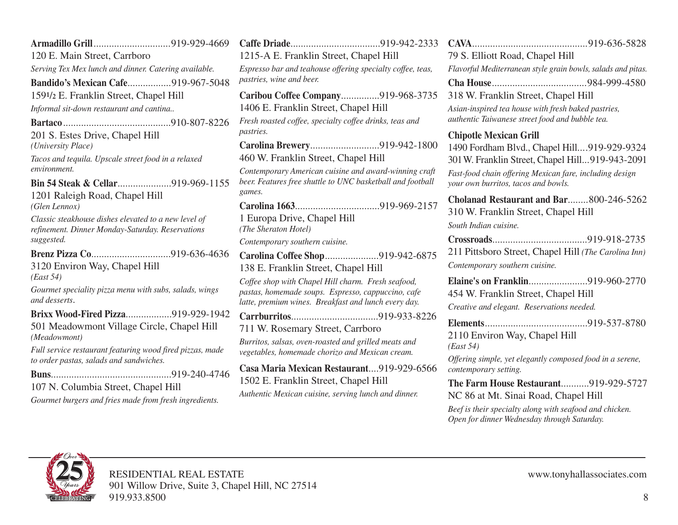|                                                                                                      | $\mathbf C$             |
|------------------------------------------------------------------------------------------------------|-------------------------|
| 120 E. Main Street, Carrboro                                                                         | 1'                      |
| Serving Tex Mex lunch and dinner. Catering available.                                                | E                       |
| <b>Bandido's Mexican Cafe919-967-5048</b>                                                            | $p$ c                   |
| 1591/2 E. Franklin Street, Chapel Hill                                                               | $\overline{C}$          |
| Informal sit-down restaurant and cantina                                                             | $\mathbf{1}$            |
|                                                                                                      | F <sub>I</sub>          |
| 201 S. Estes Drive, Chapel Hill<br>(University Place)                                                | p<br>$\overline{C}$     |
| Tacos and tequila. Upscale street food in a relaxed                                                  | $\overline{4}$          |
| environment.                                                                                         | $\overline{C}$          |
| Bin 54 Steak & Cellar919-969-1155                                                                    | be                      |
| 1201 Raleigh Road, Chapel Hill                                                                       | g <sub>c</sub>          |
| (Glen Lennox)                                                                                        | $\overline{C}$          |
| Classic steakhouse dishes elevated to a new level of                                                 | 1                       |
| refinement. Dinner Monday-Saturday. Reservations                                                     | (7)                     |
| suggested.                                                                                           | $\mathcal{C}$           |
|                                                                                                      | $\overline{\mathbf{C}}$ |
| 3120 Environ Way, Chapel Hill<br>(East 54)                                                           | $1\overset{'}{.}$       |
| Gourmet speciality pizza menu with subs, salads, wings                                               | $\overline{C}$          |
| and desserts.                                                                                        | p<br>la                 |
| Brixx Wood-Fired Pizza919-929-1942                                                                   | $\overline{C}$          |
| 501 Meadowmont Village Circle, Chapel Hill<br>(Meadowmont)                                           | $\overline{7}$          |
| Full service restaurant featuring wood fired pizzas, made<br>to order pastas, salads and sandwiches. | B <sub>l</sub><br>ve    |
|                                                                                                      | $\overline{C}$          |
| 919-240-4746<br><b>Buns</b>                                                                          | 1:                      |
| 107 N. Columbia Street, Chapel Hill                                                                  | $A_l$                   |
| Gourmet burgers and fries made from fresh ingredients.                                               |                         |
|                                                                                                      |                         |

|                                                                                                                                                                  |  | <b>CAVA</b>                                 |
|------------------------------------------------------------------------------------------------------------------------------------------------------------------|--|---------------------------------------------|
| 1215-A E. Franklin Street, Chapel Hill                                                                                                                           |  |                                             |
| Espresso bar and teahouse offering specialty coffee, teas,                                                                                                       |  | Flavorf                                     |
| pastries, wine and beer.                                                                                                                                         |  | Cha H                                       |
| Caribou Coffee Company919-968-3735                                                                                                                               |  | 318 W                                       |
| 1406 E. Franklin Street, Chapel Hill                                                                                                                             |  |                                             |
| Fresh roasted coffee, specialty coffee drinks, teas and<br><i>pastries.</i>                                                                                      |  |                                             |
| Carolina Brewery919-942-1800<br>460 W. Franklin Street, Chapel Hill                                                                                              |  | Chipot<br>1490 F<br>301W.                   |
| Contemporary American cuisine and award-winning craft<br>beer. Features free shuttle to UNC basketball and football<br>games.                                    |  | Fast-foe<br>your ov                         |
| 1 Europa Drive, Chapel Hill<br>(The Sheraton Hotel)                                                                                                              |  | Chola<br>310W<br>South It                   |
| Contemporary southern cuisine.                                                                                                                                   |  | <b>Crossi</b><br>211 Pi                     |
| Carolina Coffee Shop919-942-6875<br>138 E. Franklin Street, Chapel Hill                                                                                          |  |                                             |
| Coffee shop with Chapel Hill charm. Fresh seafood,<br>pastas, homemade soups. Espresso, cappuccino, cafe<br>latte, premium wines. Breakfast and lunch every day. |  | <b>Elaine</b><br>454 W<br>Creativ           |
| 711 W. Rosemary Street, Carrboro<br>Burritos, salsas, oven-roasted and grilled meats and<br>vegetables, homemade chorizo and Mexican cream.                      |  | <b>Eleme</b><br>21101<br>(East 5<br>Offerin |
| Casa Maria Mexican Restaurant919-929-6566<br>1502 E. Franklin Street, Chapel Hill                                                                                |  | contem<br>The Fa                            |

*Authentic Mexican cuisine, serving lunch and dinner.*

| 79 S. Elliott Road, Chapel Hill                                                                        |  |  |
|--------------------------------------------------------------------------------------------------------|--|--|
| Flavorful Mediterranean style grain bowls, salads and pitas.                                           |  |  |
|                                                                                                        |  |  |
| 318 W. Franklin Street, Chapel Hill                                                                    |  |  |
| Asian-inspired tea house with fresh baked pastries,<br>authentic Taiwanese street food and bubble tea. |  |  |
| <b>Chipotle Mexican Grill</b>                                                                          |  |  |
| 1490 Fordham Blvd., Chapel Hill919-929-9324                                                            |  |  |
| 301 W. Franklin Street, Chapel Hill919-943-2091                                                        |  |  |
| Fast-food chain offering Mexican fare, including design<br>your own burritos, tacos and bowls.         |  |  |
| Cholanad Restaurant and Bar800-246-5262                                                                |  |  |
| 310 W. Franklin Street, Chapel Hill                                                                    |  |  |
| South Indian cuisine.                                                                                  |  |  |
|                                                                                                        |  |  |
| 211 Pittsboro Street, Chapel Hill (The Carolina Inn)                                                   |  |  |
| Contemporary southern cuisine.                                                                         |  |  |
| Elaine's on Franklin919-960-2770                                                                       |  |  |
| 454 W. Franklin Street, Chapel Hill                                                                    |  |  |

*Creative and elegant. Reservations needed.*

**Elements**........................................919-537-8780 2110 Environ Way, Chapel Hill *(East 54)*

*Offering simple, yet elegantly composed food in a serene, contemporary setting.*

**The Farm House Restaurant**...........919-929-5727 NC 86 at Mt. Sinai Road, Chapel Hill

*Beef is their specialty along with seafood and chicken. Open for dinner Wednesday through Saturday.*

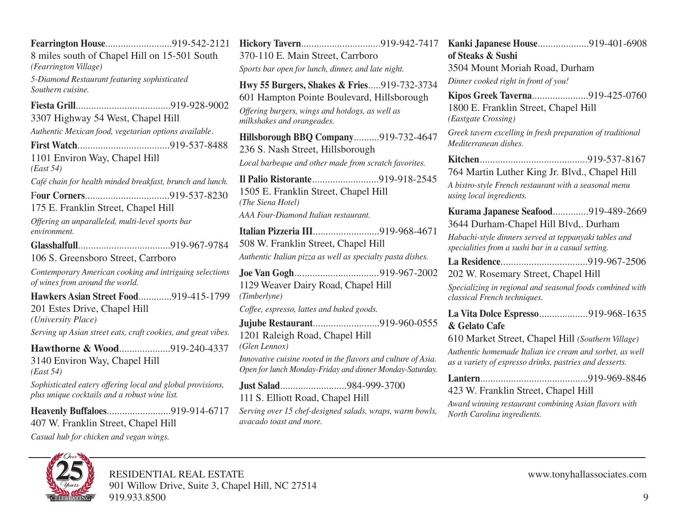**Fearrington House**..........................919-542-2121 8 miles south of Chapel Hill on 15-501 South *(Fearrington Village) 5-Diamond Restaurant featuring sophisticated Southern cuisine.* **Fiesta Grill**.....................................919-928-9002 3307 Highway 54 West, Chapel Hill *Authentic Mexican food, vegetarian options available*. **First Watch**....................................919-537-8488 1101 Environ Way, Chapel Hill *(East 54) Café chain for health minded breakfast, brunch and lunch.* F**our Corners**.................................919-537-8230 175 E. Franklin Street, Chapel Hill *Offering an unparalleled, multi-level sports bar environment.* **Glasshalfull**....................................919-967-9784 106 S. Greensboro Street, Carrboro *Contemporary American cooking and intriguing selections of wines from around the world.* **Hawkers Asian Street Food**.............919-415-1799 201 Estes Drive, Chapel Hill *(University Place) Serving up Asian street eats, craft cookies, and great vibes.* **Hawthorne & Wood**....................919-240-4337 3140 Environ Way, Chapel Hill *(East 54) Sophisticated eatery offering local and global provisions, plus unique cocktails and a robust wine list.* **Heavenly Buffaloes**.........................919-914-6717 407 W. Franklin Street, Chapel Hill *Casual hub for chicken and vegan wings.*

**Hickory Tavern**...............................919-942-7417 370-110 E. Main Street, Carrboro *Sports bar open for lunch, dinner, and late night.* **Hwy 55 Burgers, Shakes & Fries**.....919-732-3734 601 Hampton Pointe Boulevard, Hillsborough *Offering burgers, wings and hotdogs, as well as milkshakes and orangeades.* **Hillsborough BBQ Company**..........919-732-4647 236 S. Nash Street, Hillsborough *Local barbeque and other made from scratch favorites.* **Il Palio Ristorante**..........................919-918-2545 1505 E. Franklin Street, Chapel Hill *(The Siena Hotel) AAA Four-Diamond Italian restaurant.* **Italian Pizzeria III**..........................919-968-4671 508 W. Franklin Street, Chapel Hill *Authentic Italian pizza as well as specialty pasta dishes.* **Joe Van Gogh**.................................919-967-2002 1129 Weaver Dairy Road, Chapel Hill *(Timberlyne) Coffee, espresso, lattes and baked goods.* **Jujube Restaurant**..........................919-960-0555 1201 Raleigh Road, Chapel Hill *(Glen Lennox) Innovative cuisine rooted in the flavors and culture of Asia. Open for lunch Monday-Friday and dinner Monday-Saturday.* **Just Salad**..........................984-999-3700 111 S. Elliott Road, Chapel Hill *Serving over 15 chef-designed salads, wraps, warm bowls, avacado toast and more.*

**Kanki Japanese House**....................919-401-6908 **of Steaks & Sushi** 3504 Mount Moriah Road, Durham *Dinner cooked right in front of you!* **Kipos Greek Taverna**......................919-425-0760 1800 E. Franklin Street, Chapel Hill *(Eastgate Crossing) Greek tavern excelling in fresh preparation of traditional Mediterranean dishes.* **Kitchen**..........................................919-537-8167 764 Martin Luther King Jr. Blvd., Chapel Hill *A bistro-style French restaurant with a seasonal menu using local ingredients.* **Kurama Japanese Seafood**..............919-489-2669 3644 Durham-Chapel Hill Blvd,. Durham *Habachi-style dinners served at teppanyaki tables and specialities from a sushi bar in a casual setting.* **La Residence**..................................919-967-2506 202 W. Rosemary Street, Chapel Hill *Specializing in regional and seasonal foods combined with classical French techniques.* **La Vita Dolce Espresso**...................919-968-1635 **& Gelato Cafe** 610 Market Street, Chapel Hill *(Southern Village) Authentic homemade Italian ice cream and sorbet, as well as a variety of espresso drinks, pastries and desserts.* **Lantern**..........................................919-969-8846 423 W. Franklin Street, Chapel Hill

*Award winning restaurant combining Asian flavors with North Carolina ingredients.*

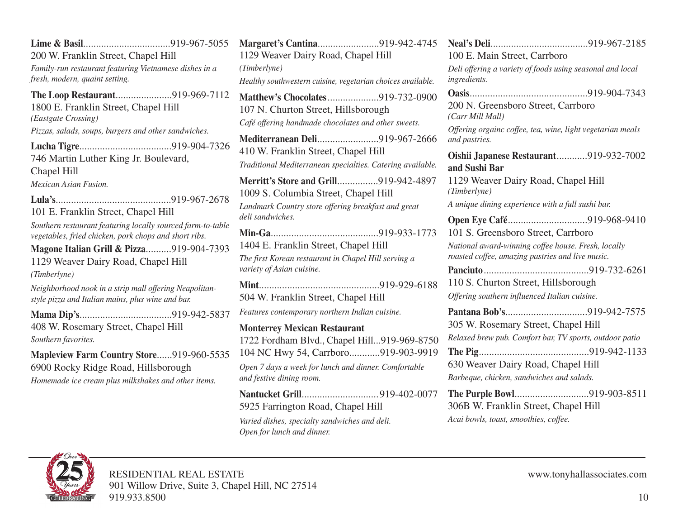**Lime & Basil**..................................919-967-5055 200 W. Franklin Street, Chapel Hill *Family-run restaurant featuring Vietnamese dishes in a fresh, modern, quaint setting.* **The Loop Restaurant**......................919-969-7112 1800 E. Franklin Street, Chapel Hill *(Eastgate Crossing) Pizzas, salads, soups, burgers and other sandwiches.* **Lucha Tigre**....................................919-904-7326 746 Martin Luther King Jr. Boulevard, Chapel Hill *Mexican Asian Fusion.* **Lula's**.............................................919-967-2678 101 E. Franklin Street, Chapel Hill *Southern restaurant featuring locally sourced farm-to-table vegetables, fried chicken, pork chops and short ribs.* **Magone Italian Grill & Pizza**..........919-904-7393 1129 Weaver Dairy Road, Chapel Hill *(Timberlyne) Neighborhood nook in a strip mall offering Neapolitanstyle pizza and Italian mains, plus wine and bar.* **Mama Dip's**....................................919-942-5837 408 W. Rosemary Street, Chapel Hill *Southern favorites.* **Mapleview Farm Country Store**......919-960-5535 6900 Rocky Ridge Road, Hillsborough *Homemade ice cream plus milkshakes and other items.*

**Margaret's Cantina**........................919-942-4745 1129 Weaver Dairy Road, Chapel Hill *(Timberlyne) Healthy southwestern cuisine, vegetarian choices available.* **Matthew's Chocolates**....................919-732-0900 107 N. Churton Street, Hillsborough *Café offering handmade chocolates and other sweets.* **Mediterranean Deli**........................919-967-2666 410 W. Franklin Street, Chapel Hill *Traditional Mediterranean specialties. Catering available.* **Merritt's Store and Grill**................919-942-4897 1009 S. Columbia Street, Chapel Hill *Landmark Country store offering breakfast and great deli sandwiches.* **Min-Ga**..........................................919-933-1773 1404 E. Franklin Street, Chapel Hill *The first Korean restaurant in Chapel Hill serving a variety of Asian cuisine.* **Mint**...............................................919-929-6188 504 W. Franklin Street, Chapel Hill *Features contemporary northern Indian cuisine.* **Monterrey Mexican Restaurant** 1722 Fordham Blvd., Chapel Hill...919-969-8750 104 NC Hwy 54, Carrboro............919-903-9919 *Open 7 days a week for lunch and dinner. Comfortable and festive dining room.* **Nantucket Grill**.............................. 919-402-0077 5925 Farrington Road, Chapel Hill *Varied dishes, specialty sandwiches and deli.*

*Open for lunch and dinner.*

| 100 E. Main Street, Carrboro                                                                            |
|---------------------------------------------------------------------------------------------------------|
| Deli offering a variety of foods using seasonal and local<br>ingredients.                               |
|                                                                                                         |
| 200 N. Greensboro Street, Carrboro<br>(Carr Mill Mall)                                                  |
| Offering orgainc coffee, tea, wine, light vegetarian meals<br>and pastries.                             |
| Oishii Japanese Restaurant919-932-7002<br>and Sushi Bar                                                 |
| 1129 Weaver Dairy Road, Chapel Hill                                                                     |
| (Timberlyne)                                                                                            |
| A unique dining experience with a full sushi bar.                                                       |
| Open Eye Café919-968-9410                                                                               |
| 101 S. Greensboro Street, Carrboro                                                                      |
| National award-winning coffee house. Fresh, locally<br>roasted coffee, amazing pastries and live music. |
|                                                                                                         |
| 110 S. Churton Street, Hillsborough                                                                     |
| Offering southern influenced Italian cuisine.                                                           |
|                                                                                                         |
| 305 W. Rosemary Street, Chapel Hill                                                                     |
| Relaxed brew pub. Comfort bar, TV sports, outdoor patio                                                 |
|                                                                                                         |
| 630 Weaver Dairy Road, Chapel Hill                                                                      |
| Barbeque, chicken, sandwiches and salads.                                                               |
| The Purple Bowl919-903-8511                                                                             |
| 306B W. Franklin Street, Chapel Hill                                                                    |
| Acai bowls, toast, smoothies, coffee.                                                                   |

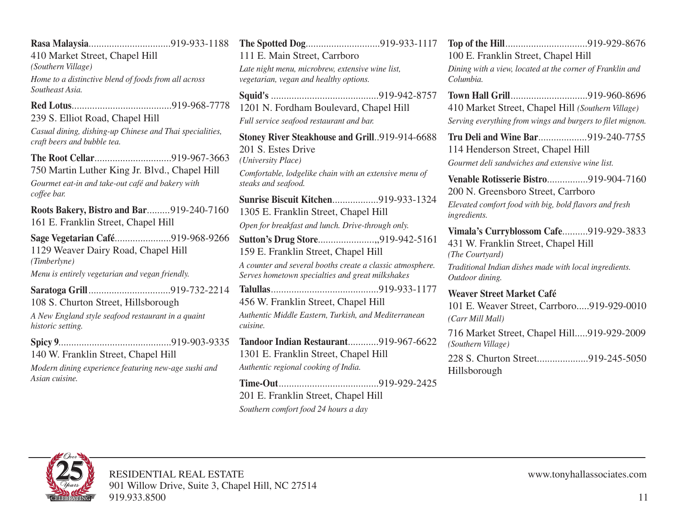**Rasa Malaysia**................................919-933-1188 410 Market Street, Chapel Hill *(Southern Village) Home to a distinctive blend of foods from all across Southeast Asia.* **Red Lotus**.......................................919-968-7778 239 S. Elliot Road, Chapel Hill *Casual dining, dishing-up Chinese and Thai specialities, craft beers and bubble tea.* **The Root Cellar**..............................919-967-3663 750 Martin Luther King Jr. Blvd., Chapel Hill *Gourmet eat-in and take-out café and bakery with coffee bar.* **Roots Bakery, Bistro and Bar**.........919-240-7160 161 E. Franklin Street, Chapel Hill **Sage Vegetarian Café**......................919-968-9266 1129 Weaver Dairy Road, Chapel Hill *(Timberlyne) Menu is entirely vegetarian and vegan friendly.* **Saratoga Grill**................................919-732-2214 108 S. Churton Street, Hillsborough *A New England style seafood restaurant in a quaint historic setting.* **Spicy 9**............................................919-903-9335 140 W. Franklin Street, Chapel Hill *Modern dining experience featuring new-age sushi and Asian cuisine.* **The Spotted Dog**.............................919-933-1117 111 E. Main Street, Carrboro *Late night menu, microbrew, extensive wine list, vegetarian, vegan and healthy options.* **Squid's** ..........................................919-942-8757 1201 N. Fordham Boulevard, Chapel Hill *Full service seafood restaurant and bar.* **Stoney River Steakhouse and Grill**..919-914-6688 201 S. Estes Drive *(University Place) Comfortable, lodgelike chain with an extensive menu of steaks and seafood.* **Sunrise Biscuit Kitchen**..................919-933-1324 1305 E. Franklin Street, Chapel Hill *Open for breakfast and lunch. Drive-through only.* **Sutton's Drug Store**......................,,919-942-5161 159 E. Franklin Street, Chapel Hill *A counter and several booths create a classic atmosphere. Serves hometown specialties and great milkshakes* **Talullas**..........................................919-933-1177 456 W. Franklin Street, Chapel Hill *Authentic Middle Eastern, Turkish, and Mediterranean cuisine.* **Tandoor Indian Restaurant**............919-967-6622 1301 E. Franklin Street, Chapel Hill *Authentic regional cooking of India.* **Time-Out**.......................................919-929-2425 201 E. Franklin Street, Chapel Hill *Southern comfort food 24 hours a day*

**Top of the Hill**................................919-929-8676 100 E. Franklin Street, Chapel Hill *Dining with a view, located at the corner of Franklin and Columbia.* **Town Hall Grill**..............................919-960-8696 410 Market Street, Chapel Hill *(Southern Village) Serving everything from wings and burgers to filet mignon.* **Tru Deli and Wine Bar**...................919-240-7755 114 Henderson Street, Chapel Hill *Gourmet deli sandwiches and extensive wine list.* **Venable Rotisserie Bistro**................919-904-7160 200 N. Greensboro Street, Carrboro *Elevated comfort food with big, bold flavors and fresh ingredients.* **Vimala's Curryblossom Cafe**..........919-929-3833 431 W. Franklin Street, Chapel Hill *(The Courtyard) Traditional Indian dishes made with local ingredients. Outdoor dining.* **Weaver Street Market Café** 101 E. Weaver Street, Carrboro.....919-929-0010 *(Carr Mill Mall)* 716 Market Street, Chapel Hill.....919-929-2009 *(Southern Village)*

228 S. Churton Street....................919-245-5050 Hillsborough

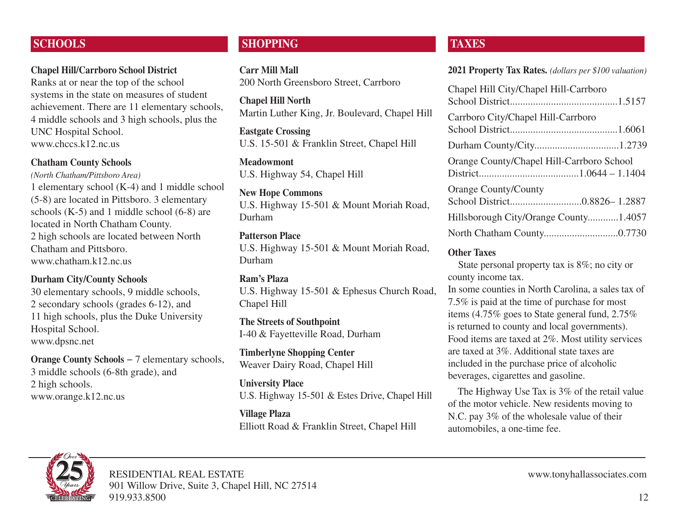## **SCHOOLS**

## **Chapel Hill/Carrboro School District**

Ranks at or near the top of the school systems in the state on measures of student achievement. There are 11 elementary schools, 4 middle schools and 3 high schools, plus the UNC Hospital School. www.chccs.k12.nc.us

#### **Chatham County Schools**

*(North Chatham/Pittsboro Area)* 1 elementary school (K-4) and 1 middle school (5-8) are located in Pittsboro. 3 elementary schools (K-5) and 1 middle school (6-8) are located in North Chatham County. 2 high schools are located between North Chatham and Pittsboro. www.chatham.k12.nc.us

#### **Durham City/County Schools**

30 elementary schools, 9 middle schools, 2 secondary schools (grades 6-12), and 11 high schools, plus the Duke University Hospital School. www.dpsnc.net

**Orange County Schools** − 7 elementary schools, 3 middle schools (6-8th grade), and 2 high schools. www.orange.k12.nc.us

## **SHOPPING**

**Carr Mill Mall** 200 North Greensboro Street, Carrboro

**Chapel Hill North** Martin Luther King, Jr. Boulevard, Chapel Hill

**Eastgate Crossing** U.S. 15-501 & Franklin Street, Chapel Hill

**Meadowmont** U.S. Highway 54, Chapel Hill

**New Hope Commons** U.S. Highway 15-501 & Mount Moriah Road, Durham

#### **Patterson Place**

U.S. Highway 15-501 & Mount Moriah Road, Durham

#### **Ram's Plaza**

U.S. Highway 15-501 & Ephesus Church Road, Chapel Hill

**The Streets of Southpoint** I-40 & Fayetteville Road, Durham

**Timberlyne Shopping Center** Weaver Dairy Road, Chapel Hill

#### **University Place**

U.S. Highway 15-501 & Estes Drive, Chapel Hill

**Village Plaza** Elliott Road & Franklin Street, Chapel Hill

## **TAXES**

**2021 Property Tax Rates.** *(dollars per \$100 valuation)*

| Chapel Hill City/Chapel Hill-Carrboro     |  |
|-------------------------------------------|--|
| Carrboro City/Chapel Hill-Carrboro        |  |
|                                           |  |
| Orange County/Chapel Hill-Carrboro School |  |
| <b>Orange County/County</b>               |  |
| Hillsborough City/Orange County1.4057     |  |
|                                           |  |

#### **Other Taxes**

State personal property tax is 8%; no city or county income tax.

In some counties in North Carolina, a sales tax of 7.5% is paid at the time of purchase for most items (4.75% goes to State general fund, 2.75% is returned to county and local governments). Food items are taxed at 2%. Most utility services are taxed at 3%. Additional state taxes are included in the purchase price of alcoholic beverages, cigarettes and gasoline.

The Highway Use Tax is 3% of the retail value of the motor vehicle. New residents moving to N.C. pay 3% of the wholesale value of their automobiles, a one-time fee.

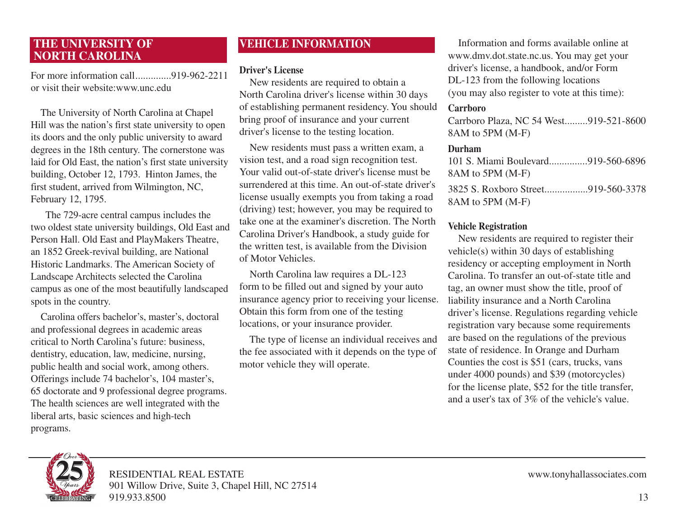## **THE UNIVERSITY OF NORTH CAROLINA**

For more information call..............919-962-2211 or visit their website:www.unc.edu

The University of North Carolina at Chapel Hill was the nation's first state university to open its doors and the only public university to award degrees in the 18th century. The cornerstone was laid for Old East, the nation's first state university building, October 12, 1793. Hinton James, the first student, arrived from Wilmington, NC, February 12, 1795.

The 729-acre central campus includes the two oldest state university buildings, Old East and Person Hall. Old East and PlayMakers Theatre, an 1852 Greek-revival building, are National Historic Landmarks. The American Society of Landscape Architects selected the Carolina campus as one of the most beautifully landscaped spots in the country.

Carolina offers bachelor's, master's, doctoral and professional degrees in academic areas critical to North Carolina's future: business, dentistry, education, law, medicine, nursing, public health and social work, among others. Offerings include 74 bachelor's, 104 master's, 65 doctorate and 9 professional degree programs. The health sciences are well integrated with the liberal arts, basic sciences and high-tech programs.

## **VEHICLE INFORMATION**

#### **Driver's License**

New residents are required to obtain a North Carolina driver's license within 30 days of establishing permanent residency. You should bring proof of insurance and your current driver's license to the testing location.

New residents must pass a written exam, a vision test, and a road sign recognition test. Your valid out-of-state driver's license must be surrendered at this time. An out-of-state driver's license usually exempts you from taking a road (driving) test; however, you may be required to take one at the examiner's discretion. The North Carolina Driver's Handbook, a study guide for the written test, is available from the Division of Motor Vehicles.

North Carolina law requires a DL-123 form to be filled out and signed by your auto insurance agency prior to receiving your license. Obtain this form from one of the testing locations, or your insurance provider.

The type of license an individual receives and the fee associated with it depends on the type of motor vehicle they will operate.

Information and forms available online at www.dmv.dot.state.nc.us. You may get your driver's license, a handbook, and/or Form DL-123 from the following locations (you may also register to vote at this time):

## **Carrboro**

Carrboro Plaza, NC 54 West.........919-521-8600 8AM to 5PM (M-F)

#### **Durham**

| 101 S. Miami Boulevard919-560-6896 |  |
|------------------------------------|--|
| 8AM to 5PM (M-F)                   |  |
| 3825 S. Roxboro Street919-560-3378 |  |
| 8AM to 5PM (M-F)                   |  |

## **Vehicle Registration**

New residents are required to register their vehicle(s) within 30 days of establishing residency or accepting employment in North Carolina. To transfer an out-of-state title and tag, an owner must show the title, proof of liability insurance and a North Carolina driver's license. Regulations regarding vehicle registration vary because some requirements are based on the regulations of the previous state of residence. In Orange and Durham Counties the cost is \$51 (cars, trucks, vans under 4000 pounds) and \$39 (motorcycles) for the license plate, \$52 for the title transfer, and a user's tax of 3% of the vehicle's value.